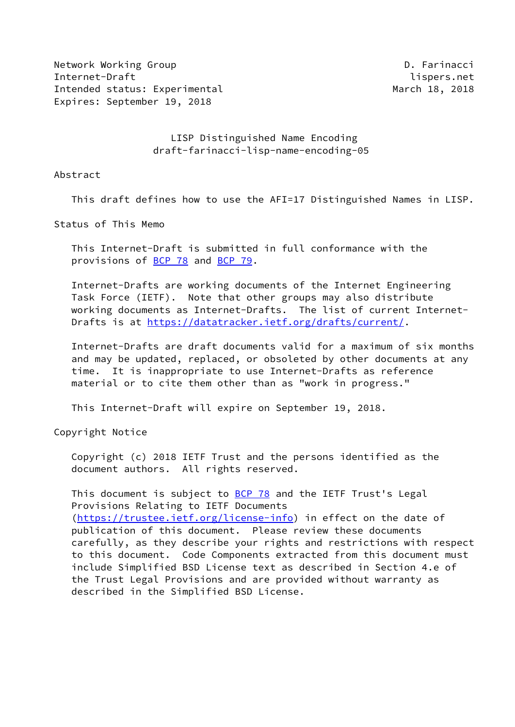Network Working Group **D. Farinacci** Internet-Draft lispers.net Intended status: Experimental March 18, 2018 Expires: September 19, 2018

 LISP Distinguished Name Encoding draft-farinacci-lisp-name-encoding-05

Abstract

This draft defines how to use the AFI=17 Distinguished Names in LISP.

Status of This Memo

 This Internet-Draft is submitted in full conformance with the provisions of [BCP 78](https://datatracker.ietf.org/doc/pdf/bcp78) and [BCP 79](https://datatracker.ietf.org/doc/pdf/bcp79).

 Internet-Drafts are working documents of the Internet Engineering Task Force (IETF). Note that other groups may also distribute working documents as Internet-Drafts. The list of current Internet- Drafts is at<https://datatracker.ietf.org/drafts/current/>.

 Internet-Drafts are draft documents valid for a maximum of six months and may be updated, replaced, or obsoleted by other documents at any time. It is inappropriate to use Internet-Drafts as reference material or to cite them other than as "work in progress."

This Internet-Draft will expire on September 19, 2018.

Copyright Notice

 Copyright (c) 2018 IETF Trust and the persons identified as the document authors. All rights reserved.

This document is subject to **[BCP 78](https://datatracker.ietf.org/doc/pdf/bcp78)** and the IETF Trust's Legal Provisions Relating to IETF Documents [\(https://trustee.ietf.org/license-info](https://trustee.ietf.org/license-info)) in effect on the date of publication of this document. Please review these documents carefully, as they describe your rights and restrictions with respect to this document. Code Components extracted from this document must include Simplified BSD License text as described in Section 4.e of the Trust Legal Provisions and are provided without warranty as described in the Simplified BSD License.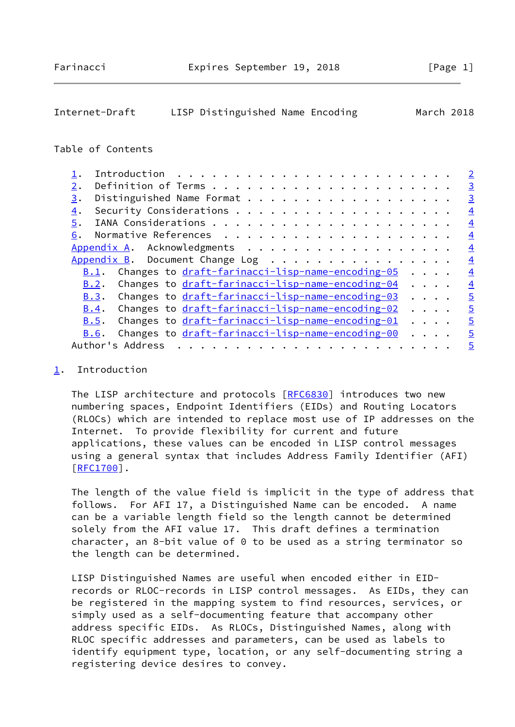# <span id="page-1-1"></span>Internet-Draft LISP Distinguished Name Encoding March 2018

#### Table of Contents

|                                                                      | $\overline{2}$ |
|----------------------------------------------------------------------|----------------|
| $2$ .                                                                | $\overline{3}$ |
| 3.                                                                   | $\overline{3}$ |
| $\overline{4}$ .                                                     | $\overline{4}$ |
| 5.                                                                   | $\overline{4}$ |
| 6.                                                                   | $\overline{4}$ |
| Appendix A. Acknowledgments                                          | $\overline{4}$ |
| Appendix B. Document Change Log                                      | $\overline{4}$ |
| Changes to draft-farinacci-lisp-name-encoding-05<br>B.1.             | $\overline{4}$ |
| Changes to draft-farinacci-lisp-name-encoding-04<br>$\cdots$<br>B.2. | $\overline{4}$ |
| $B.3$ . Changes to $dr$ aft-farinacci-lisp-name-encoding-03          | $\overline{5}$ |
| Changes to draft-farinacci-lisp-name-encoding-02<br>B.4.             | $\overline{5}$ |
| Changes to draft-farinacci-lisp-name-encoding-01<br>B.5.             | $\overline{5}$ |
| Changes to draft-farinacci-lisp-name-encoding-00<br>B.6.<br>$\cdots$ | $\overline{5}$ |
| Author's Address<br>.<br>$\mathbf{r}$ , $\mathbf{r}$ , $\mathbf{r}$  | $\overline{5}$ |

## <span id="page-1-0"></span>[1](#page-1-0). Introduction

The LISP architecture and protocols [\[RFC6830](https://datatracker.ietf.org/doc/pdf/rfc6830)] introduces two new numbering spaces, Endpoint Identifiers (EIDs) and Routing Locators (RLOCs) which are intended to replace most use of IP addresses on the Internet. To provide flexibility for current and future applications, these values can be encoded in LISP control messages using a general syntax that includes Address Family Identifier (AFI) [\[RFC1700](https://datatracker.ietf.org/doc/pdf/rfc1700)].

 The length of the value field is implicit in the type of address that follows. For AFI 17, a Distinguished Name can be encoded. A name can be a variable length field so the length cannot be determined solely from the AFI value 17. This draft defines a termination character, an 8-bit value of 0 to be used as a string terminator so the length can be determined.

 LISP Distinguished Names are useful when encoded either in EID records or RLOC-records in LISP control messages. As EIDs, they can be registered in the mapping system to find resources, services, or simply used as a self-documenting feature that accompany other address specific EIDs. As RLOCs, Distinguished Names, along with RLOC specific addresses and parameters, can be used as labels to identify equipment type, location, or any self-documenting string a registering device desires to convey.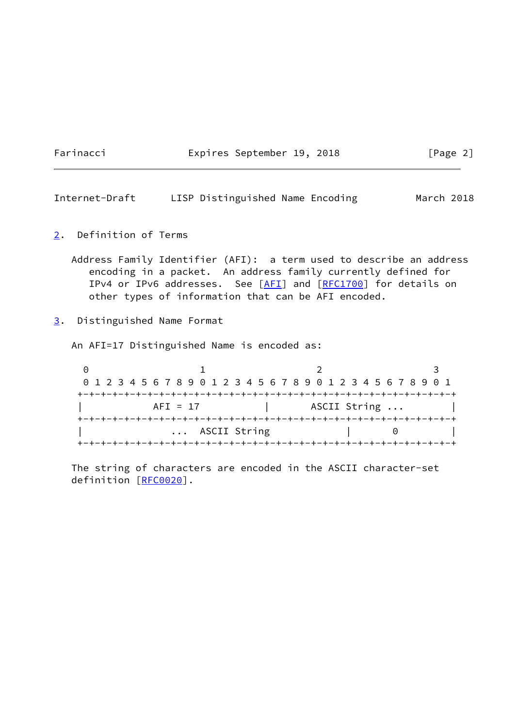Farinacci **Expires September 19, 2018** [Page 2]

<span id="page-2-1"></span>Internet-Draft LISP Distinguished Name Encoding March 2018

<span id="page-2-0"></span>[2](#page-2-0). Definition of Terms

 Address Family Identifier (AFI): a term used to describe an address encoding in a packet. An address family currently defined for IPv4 or IPv6 addresses. See [\[AFI](#page-3-5)] and [[RFC1700](https://datatracker.ietf.org/doc/pdf/rfc1700)] for details on other types of information that can be AFI encoded.

<span id="page-2-2"></span>[3](#page-2-2). Distinguished Name Format

An AFI=17 Distinguished Name is encoded as:

0 1 2 3 0 1 2 3 4 5 6 7 8 9 0 1 2 3 4 5 6 7 8 9 0 1 2 3 4 5 6 7 8 9 0 1 +-+-+-+-+-+-+-+-+-+-+-+-+-+-+-+-+-+-+-+-+-+-+-+-+-+-+-+-+-+-+-+-+ AFI = 17 | ASCII String ... | +-+-+-+-+-+-+-+-+-+-+-+-+-+-+-+-+-+-+-+-+-+-+-+-+-+-+-+-+-+-+-+-+ | ... ASCII String | 0 | +-+-+-+-+-+-+-+-+-+-+-+-+-+-+-+-+-+-+-+-+-+-+-+-+-+-+-+-+-+-+-+-+

 The string of characters are encoded in the ASCII character-set definition [[RFC0020\]](https://datatracker.ietf.org/doc/pdf/rfc0020).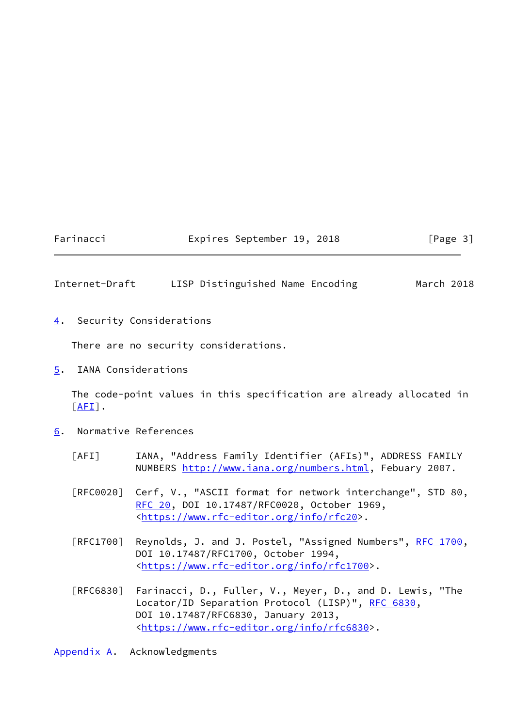#### Farinacci **Expires September 19, 2018** [Page 3]

### <span id="page-3-1"></span>Internet-Draft LISP Distinguished Name Encoding March 2018

<span id="page-3-0"></span>[4](#page-3-0). Security Considerations

There are no security considerations.

<span id="page-3-2"></span>[5](#page-3-2). IANA Considerations

 The code-point values in this specification are already allocated in  $[AFI]$  $[AFI]$ .

- <span id="page-3-5"></span><span id="page-3-3"></span>[6](#page-3-3). Normative References
	- [AFI] IANA, "Address Family Identifier (AFIs)", ADDRESS FAMILY NUMBERS [http://www.iana.org/numbers.html,](http://www.iana.org/numbers.html) Febuary 2007.
	- [RFC0020] Cerf, V., "ASCII format for network interchange", STD 80, [RFC 20](https://datatracker.ietf.org/doc/pdf/rfc20), DOI 10.17487/RFC0020, October 1969, <[https://www.rfc-editor.org/info/rfc20>](https://www.rfc-editor.org/info/rfc20).
	- [RFC1700] Reynolds, J. and J. Postel, "Assigned Numbers", [RFC 1700,](https://datatracker.ietf.org/doc/pdf/rfc1700) DOI 10.17487/RFC1700, October 1994, <[https://www.rfc-editor.org/info/rfc1700>](https://www.rfc-editor.org/info/rfc1700).
	- [RFC6830] Farinacci, D., Fuller, V., Meyer, D., and D. Lewis, "The Locator/ID Separation Protocol (LISP)", [RFC 6830,](https://datatracker.ietf.org/doc/pdf/rfc6830) DOI 10.17487/RFC6830, January 2013, <[https://www.rfc-editor.org/info/rfc6830>](https://www.rfc-editor.org/info/rfc6830).

<span id="page-3-4"></span>[Appendix A.](#page-3-4) Acknowledgments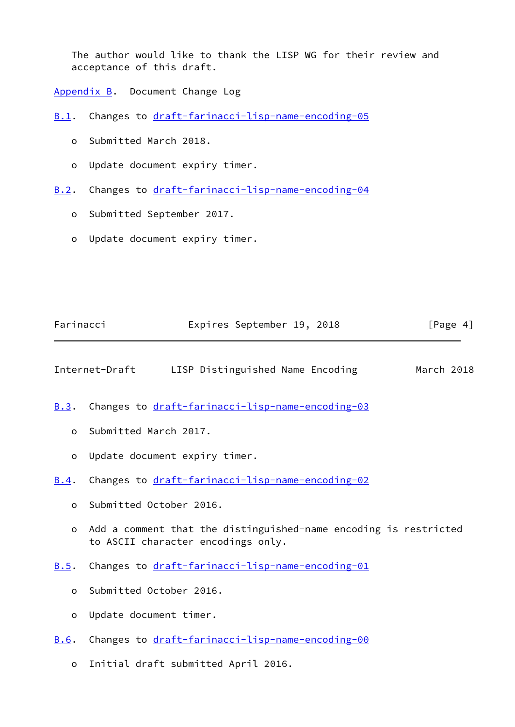The author would like to thank the LISP WG for their review and acceptance of this draft.

<span id="page-4-0"></span>[Appendix B.](#page-4-0) Document Change Log

<span id="page-4-1"></span>[B.1](#page-4-1). Changes to [draft-farinacci-lisp-name-encoding-05](https://datatracker.ietf.org/doc/pdf/draft-farinacci-lisp-name-encoding-05)

- o Submitted March 2018.
- o Update document expiry timer.
- <span id="page-4-2"></span>[B.2](#page-4-2). Changes to [draft-farinacci-lisp-name-encoding-04](https://datatracker.ietf.org/doc/pdf/draft-farinacci-lisp-name-encoding-04)
	- o Submitted September 2017.
	- o Update document expiry timer.

<span id="page-4-7"></span><span id="page-4-6"></span><span id="page-4-5"></span><span id="page-4-4"></span><span id="page-4-3"></span>

| Farinacci |                               | Expires September 19, 2018                                                                             | [Page $4$ ]<br>March 2018 |  |
|-----------|-------------------------------|--------------------------------------------------------------------------------------------------------|---------------------------|--|
|           |                               | Internet-Draft LISP Distinguished Name Encoding                                                        |                           |  |
| B.3.      |                               | Changes to draft-farinacci-lisp-name-encoding-03                                                       |                           |  |
|           | o Submitted March 2017.       |                                                                                                        |                           |  |
| o         | Update document expiry timer. |                                                                                                        |                           |  |
| B.4.      |                               | Changes to draft-farinacci-lisp-name-encoding-02                                                       |                           |  |
| $\Omega$  | Submitted October 2016.       |                                                                                                        |                           |  |
| $\circ$   |                               | Add a comment that the distinguished-name encoding is restricted<br>to ASCII character encodings only. |                           |  |
| B.5.      |                               | Changes to draft-farinacci-lisp-name-encoding-01                                                       |                           |  |
| $\circ$   | Submitted October 2016.       |                                                                                                        |                           |  |
| o         | Update document timer.        |                                                                                                        |                           |  |
| B.6.      |                               | Changes to draft-farinacci-lisp-name-encoding-00                                                       |                           |  |
| $\circ$   |                               | Initial draft submitted April 2016.                                                                    |                           |  |